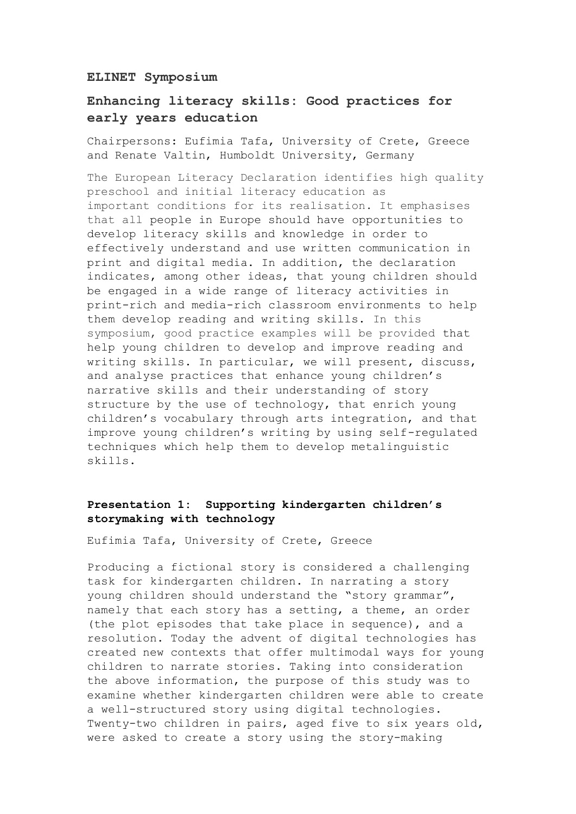#### **ELINET Symposium**

# **Enhancing literacy skills: Good practices for early years education**

Chairpersons: Eufimia Tafa, University of Crete, Greece and Renate Valtin, Humboldt University, Germany

The European Literacy Declaration identifies high quality preschool and initial literacy education as important conditions for its realisation. It emphasises that all people in Europe should have opportunities to develop literacy skills and knowledge in order to effectively understand and use written communication in print and digital media. In addition, the declaration indicates, among other ideas, that young children should be engaged in a wide range of literacy activities in print-rich and media-rich classroom environments to help them develop reading and writing skills. In this symposium, good practice examples will be provided that help young children to develop and improve reading and writing skills. In particular, we will present, discuss, and analyse practices that enhance young children's narrative skills and their understanding of story structure by the use of technology, that enrich young children's vocabulary through arts integration, and that improve young children's writing by using self-regulated techniques which help them to develop metalinguistic skills.

# **Presentation 1: Supporting kindergarten children's storymaking with technology**

Eufimia Tafa, University of Crete, Greece

Producing a fictional story is considered a challenging task for kindergarten children. In narrating a story young children should understand the "story grammar", namely that each story has a setting, a theme, an order (the plot episodes that take place in sequence), and a resolution. Today the advent of digital technologies has created new contexts that offer multimodal ways for young children to narrate stories. Taking into consideration the above information, the purpose of this study was to examine whether kindergarten children were able to create a well-structured story using digital technologies. Twenty-two children in pairs, aged five to six years old, were asked to create a story using the story-making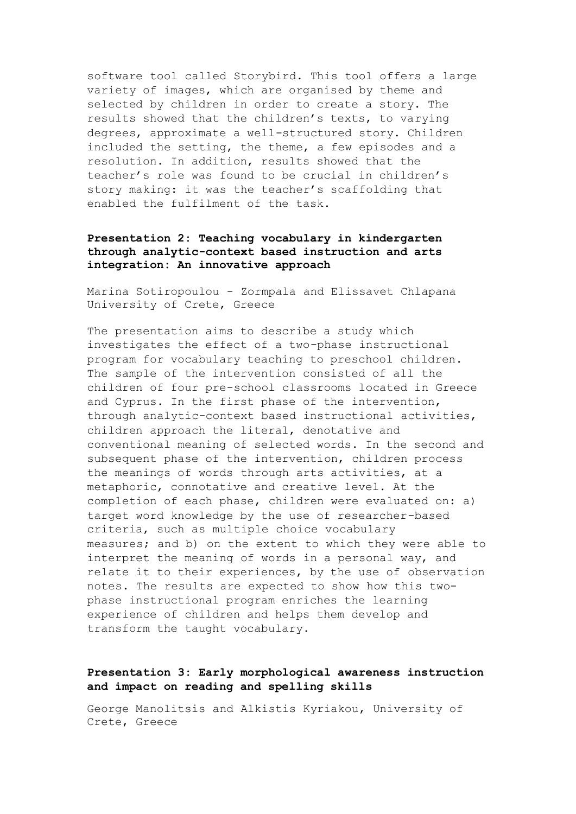software tool called Storybird. This tool offers a large variety of images, which are organised by theme and selected by children in order to create a story. The results showed that the children's texts, to varying degrees, approximate a well-structured story. Children included the setting, the theme, a few episodes and a resolution. In addition, results showed that the teacher's role was found to be crucial in children's story making: it was the teacher's scaffolding that enabled the fulfilment of the task.

# **Presentation 2: Teaching vocabulary in kindergarten through analytic-context based instruction and arts integration: An innovative approach**

[Marina Sotiropoulou -](mailto:marinazorb@edc.uoc.gr) Zormpala and Elissavet Chlapana University of Crete, Greece

The presentation aims to describe a study which investigates the effect of a two-phase instructional program for vocabulary teaching to preschool children. The sample of the intervention consisted of all the children of four pre-school classrooms located in Greece and Cyprus. In the first phase of the intervention, through analytic-context based instructional activities, children approach the literal, denotative and conventional meaning of selected words. In the second and subsequent phase of the intervention, children process the meanings of words through arts activities, at a metaphoric, connotative and creative level. At the completion of each phase, children were evaluated on: a) target word knowledge by the use of researcher-based criteria, such as multiple choice vocabulary measures; and b) on the extent to which they were able to interpret the meaning of words in a personal way, and relate it to their experiences, by the use of observation notes. The results are expected to show how this twophase instructional program enriches the learning experience of children and helps them develop and transform the taught vocabulary.

# **Presentation 3: Early morphological awareness instruction and impact on reading and spelling skills**

George Manolitsis and Alkistis Kyriakou, University of Crete, Greece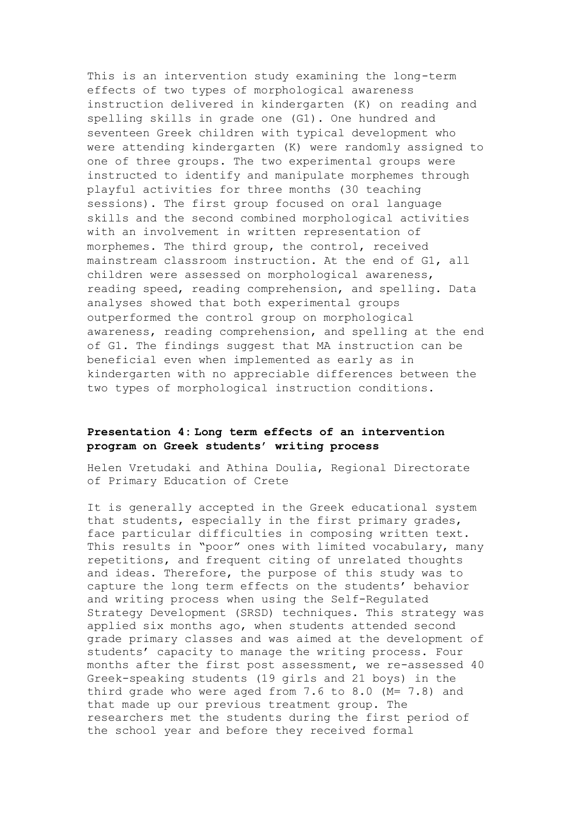This is an intervention study examining the long-term effects of two types of morphological awareness instruction delivered in kindergarten (K) on reading and spelling skills in grade one (G1). One hundred and seventeen Greek children with typical development who were attending kindergarten (K) were randomly assigned to one of three groups. The two experimental groups were instructed to identify and manipulate morphemes through playful activities for three months (30 teaching sessions). The first group focused on oral language skills and the second combined morphological activities with an involvement in written representation of morphemes. The third group, the control, received mainstream classroom instruction. At the end of G1, all children were assessed on morphological awareness, reading speed, reading comprehension, and spelling. Data analyses showed that both experimental groups outperformed the control group on morphological awareness, reading comprehension, and spelling at the end of G1. The findings suggest that MA instruction can be beneficial even when implemented as early as in kindergarten with no appreciable differences between the two types of morphological instruction conditions.

#### **Presentation 4: Long term effects of an intervention program on Greek students' writing process**

Helen Vretudaki and Athina Doulia, Regional Directorate of Primary Education of Crete

It is generally accepted in the Greek educational system that students, especially in the first primary grades, face particular difficulties in composing written text. This results in "poor" ones with limited vocabulary, many repetitions, and frequent citing of unrelated thoughts and ideas. Therefore, the purpose of this study was to capture the long term effects on the students' behavior and writing process when using the Self-Regulated Strategy Development (SRSD) techniques. This strategy was applied six months ago, when students attended second grade primary classes and was aimed at the development of students' capacity to manage the writing process. Four months after the first post assessment, we re-assessed 40 Greek-speaking students (19 girls and 21 boys) in the third grade who were aged from  $7.6$  to  $8.0$  (M=  $7.8$ ) and that made up our previous treatment group. The researchers met the students during the first period of the school year and before they received formal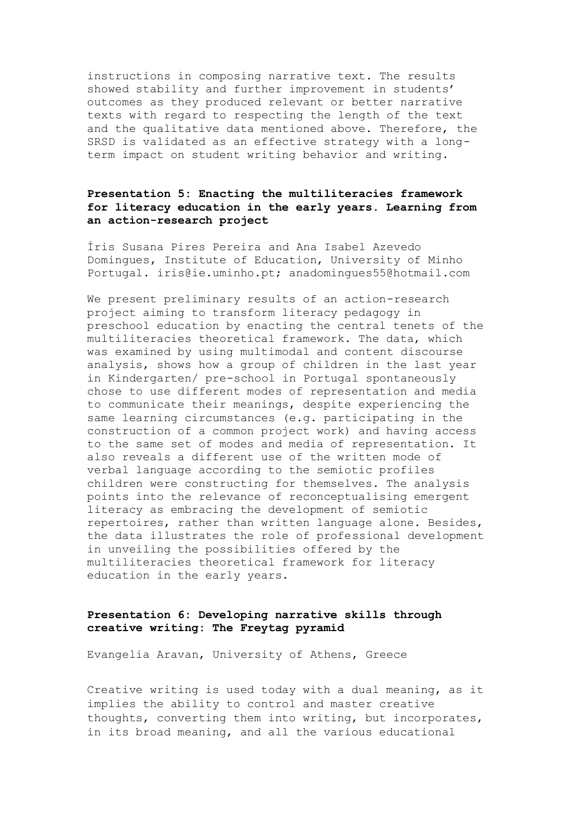instructions in composing narrative text. The results showed stability and further improvement in students' outcomes as they produced relevant or better narrative texts with regard to respecting the length of the text and the qualitative data mentioned above. Therefore, the SRSD is validated as an effective strategy with a longterm impact on student writing behavior and writing.

# **Presentation 5: Enacting the multiliteracies framework for literacy education in the early years. Learning from an action-research project**

Íris Susana Pires Pereira and Ana Isabel Azevedo Domingues, Institute of Education, University of Minho Portugal. iris@ie.uminho.pt; anadomingues55@hotmail.com

We present preliminary results of an action-research project aiming to transform literacy pedagogy in preschool education by enacting the central tenets of the multiliteracies theoretical framework. The data, which was examined by using multimodal and content discourse analysis, shows how a group of children in the last year in Kindergarten/ pre-school in Portugal spontaneously chose to use different modes of representation and media to communicate their meanings, despite experiencing the same learning circumstances (e.g. participating in the construction of a common project work) and having access to the same set of modes and media of representation. It also reveals a different use of the written mode of verbal language according to the semiotic profiles children were constructing for themselves. The analysis points into the relevance of reconceptualising emergent literacy as embracing the development of semiotic repertoires, rather than written language alone. Besides, the data illustrates the role of professional development in unveiling the possibilities offered by the multiliteracies theoretical framework for literacy education in the early years.

#### **Presentation 6: Developing narrative skills through creative writing: The Freytag pyramid**

Evangelia Aravan, University of Athens, Greece

Creative writing is used today with a dual meaning, as it implies the ability to control and master creative thoughts, converting them into writing, but incorporates, in its broad meaning, and all the various educational